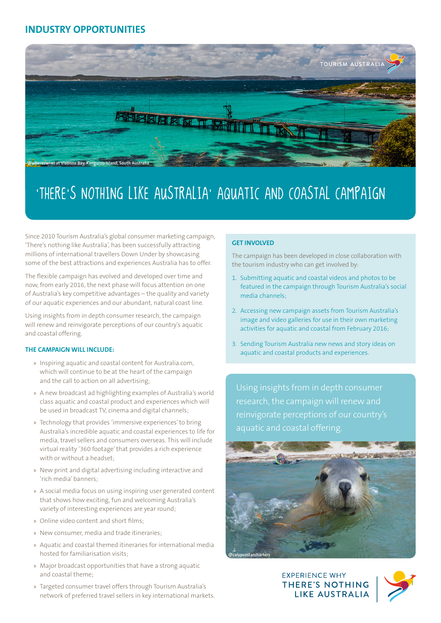# **INDUSTRY OPPORTUNITIES**



# 'THERE'S NOTHING LIKE AUSTRALIA' AQUATIC AND COASTAL CAMPAIGN

Since 2010 Tourism Australia's global consumer marketing campaign, 'There's nothing like Australia', has been successfully attracting millions of international travellers Down Under by showcasing some of the best attractions and experiences Australia has to offer.

The flexible campaign has evolved and developed over time and now, from early 2016, the next phase will focus attention on one of Australia's key competitive advantages – the quality and variety of our aquatic experiences and our abundant, natural coast line.

Using insights from in depth consumer research, the campaign will renew and reinvigorate perceptions of our country's aquatic and coastal offering.

#### **THE CAMPAIGN WILL INCLUDE:**

- » Inspiring aquatic and coastal content for Australia.com, which will continue to be at the heart of the campaign and the call to action on all advertising;
- » A new broadcast ad highlighting examples of Australia's world class aquatic and coastal product and experiences which will be used in broadcast TV, cinema and digital channels;
- » Technology that provides 'immersive experiences' to bring Australia's incredible aquatic and coastal experiences to life for media, travel sellers and consumers overseas. This will include virtual reality '360 footage' that provides a rich experience with or without a headset;
- » New print and digital advertising including interactive and 'rich media' banners;
- » A social media focus on using inspiring user generated content that shows how exciting, fun and welcoming Australia's variety of interesting experiences are year round;
- » Online video content and short films;
- » New consumer, media and trade itineraries;
- » Aquatic and coastal themed itineraries for international media hosted for familiarisation visits;
- » Major broadcast opportunities that have a strong aquatic and coastal theme;
- » Targeted consumer travel offers through Tourism Australia's network of preferred travel sellers in key international markets.

#### **GET INVOLVED**

The campaign has been developed in close collaboration with the tourism industry who can get involved by:

- 1. Submitting aquatic and coastal videos and photos to be featured in the campaign through Tourism Australia's social media channels;
- 2. Accessing new campaign assets from Tourism Australia's [image](http://images.australia.com/) and [video](http://video.australia.com/) galleries for use in their own marketing activities for aquatic and coastal from February 2016;
- 3. Sending Tourism Australia new news and story ideas on aquatic and coastal products and experiences.

Using insights from in depth consumer research, the campaign will renew and reinvigorate perceptions of our country's aquatic and coastal offering.



**EXPERIENCE WHY THERE'S NOTHING** LIKE AUSTRALIA